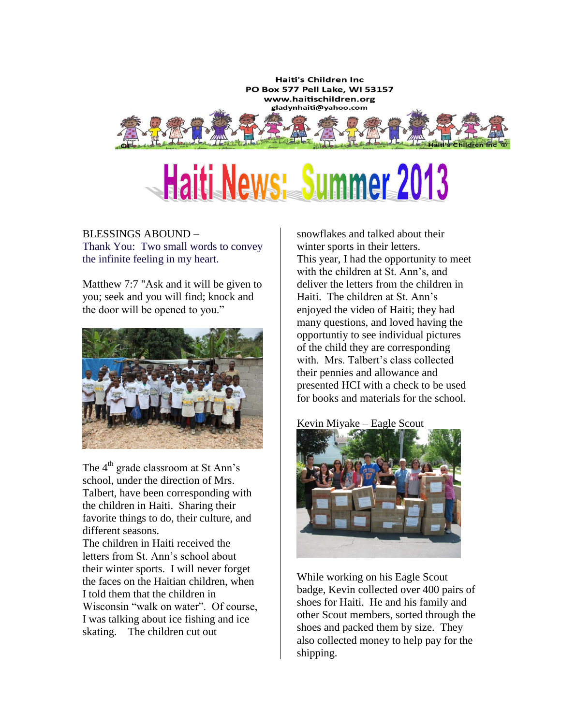**Haiti's Children Inc** PO Box 577 Pell Lake, WI 53157 www.haitischildren.org gladynhaiti@yahoo.com

# Haiti News: Summer 2013

## BLESSINGS ABOUND – Thank You: Two small words to convey the infinite feeling in my heart.

Matthew 7:7 "Ask and it will be given to you; seek and you will find; knock and the door will be opened to you."



The 4<sup>th</sup> grade classroom at St Ann's school, under the direction of Mrs. Talbert, have been corresponding with the children in Haiti. Sharing their favorite things to do, their culture, and different seasons.

The children in Haiti received the letters from St. Ann's school about their winter sports. I will never forget the faces on the Haitian children, when I told them that the children in Wisconsin "walk on water". Of course, I was talking about ice fishing and ice skating. The children cut out

snowflakes and talked about their winter sports in their letters. This year, I had the opportunity to meet with the children at St. Ann's, and deliver the letters from the children in Haiti. The children at St. Ann's enjoyed the video of Haiti; they had many questions, and loved having the opportuntiy to see individual pictures of the child they are corresponding with. Mrs. Talbert's class collected their pennies and allowance and presented HCI with a check to be used for books and materials for the school.

Kevin Miyake – Eagle Scout



While working on his Eagle Scout badge, Kevin collected over 400 pairs of shoes for Haiti. He and his family and other Scout members, sorted through the shoes and packed them by size. They also collected money to help pay for the shipping.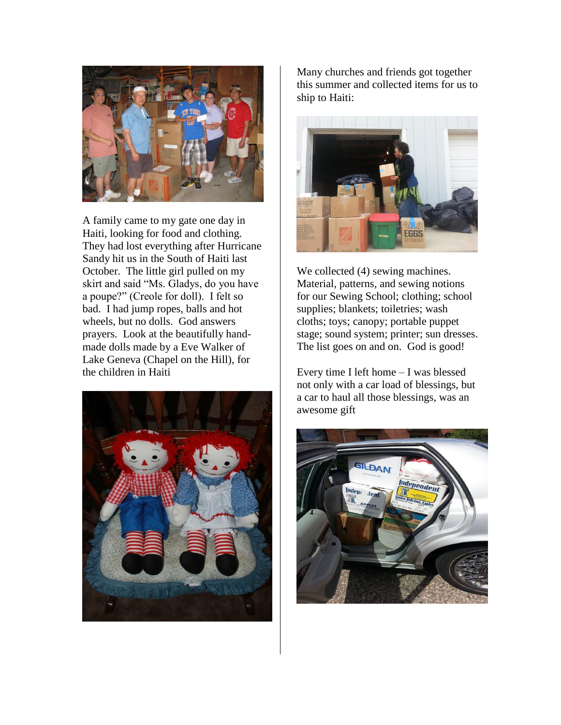

A family came to my gate one day in Haiti, looking for food and clothing. They had lost everything after Hurricane Sandy hit us in the South of Haiti last October. The little girl pulled on my skirt and said "Ms. Gladys, do you have a poupe?" (Creole for doll). I felt so bad. I had jump ropes, balls and hot wheels, but no dolls. God answers prayers. Look at the beautifully handmade dolls made by a Eve Walker of Lake Geneva (Chapel on the Hill), for the children in Haiti



Many churches and friends got together this summer and collected items for us to ship to Haiti:



We collected  $(4)$  sewing machines. Material, patterns, and sewing notions for our Sewing School; clothing; school supplies; blankets; toiletries; wash cloths; toys; canopy; portable puppet stage; sound system; printer; sun dresses. The list goes on and on. God is good!

Every time I left home – I was blessed not only with a car load of blessings, but a car to haul all those blessings, was an awesome gift

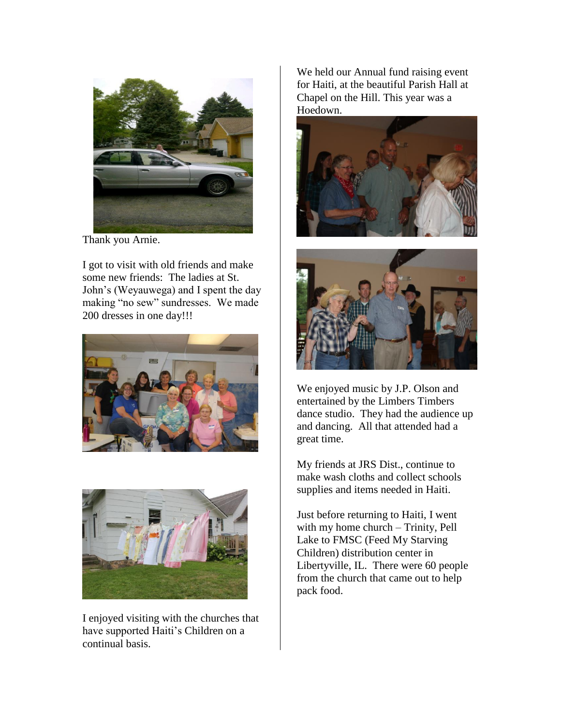

Thank you Arnie.

I got to visit with old friends and make some new friends: The ladies at St. John's (Weyauwega) and I spent the day making "no sew" sundresses. We made 200 dresses in one day!!!





I enjoyed visiting with the churches that have supported Haiti's Children on a continual basis.

We held our Annual fund raising event for Haiti, at the beautiful Parish Hall at Chapel on the Hill. This year was a Hoedown.





We enjoyed music by J.P. Olson and entertained by the Limbers Timbers dance studio. They had the audience up and dancing. All that attended had a great time.

My friends at JRS Dist., continue to make wash cloths and collect schools supplies and items needed in Haiti.

Just before returning to Haiti, I went with my home church – Trinity, Pell Lake to FMSC (Feed My Starving Children) distribution center in Libertyville, IL. There were 60 people from the church that came out to help pack food.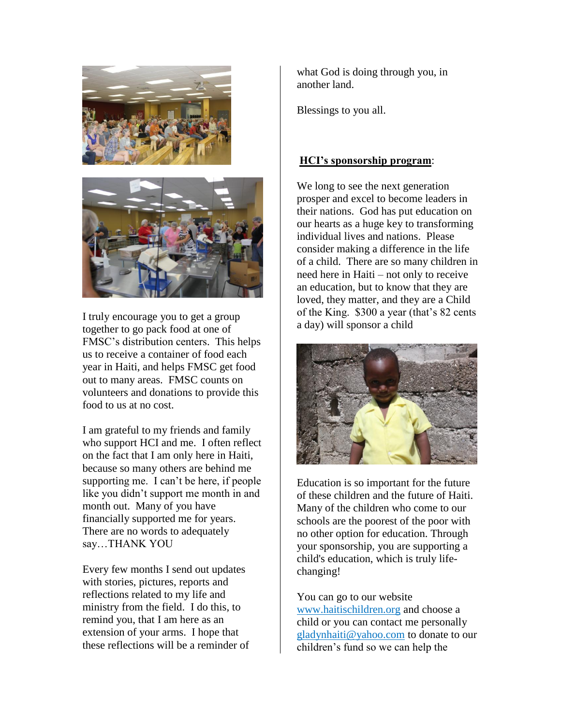



I truly encourage you to get a group together to go pack food at one of FMSC's distribution centers. This helps us to receive a container of food each year in Haiti, and helps FMSC get food out to many areas. FMSC counts on volunteers and donations to provide this food to us at no cost.

I am grateful to my friends and family who support HCI and me. I often reflect on the fact that I am only here in Haiti, because so many others are behind me supporting me. I can't be here, if people like you didn't support me month in and month out. Many of you have financially supported me for years. There are no words to adequately say…THANK YOU

Every few months I send out updates with stories, pictures, reports and reflections related to my life and ministry from the field. I do this, to remind you, that I am here as an extension of your arms. I hope that these reflections will be a reminder of what God is doing through you, in another land.

Blessings to you all.

### **HCI's sponsorship program**:

We long to see the next generation prosper and excel to become leaders in their nations. God has put education on our hearts as a huge key to transforming individual lives and nations. Please consider making a difference in the life of a child. There are so many children in need here in Haiti – not only to receive an education, but to know that they are loved, they matter, and they are a Child of the King. \$300 a year (that's 82 cents a day) will sponsor a child



Education is so important for the future of these children and the future of Haiti. Many of the children who come to our schools are the poorest of the poor with no other option for education. Through your sponsorship, you are supporting a child's education, which is truly lifechanging!

You can go to our website [www.haitischildren.org](http://www.haitischildren.org/) and choose a child or you can contact me personally [gladynhaiti@yahoo.com](mailto:gladynhaiti@yahoo.com) to donate to our children's fund so we can help the